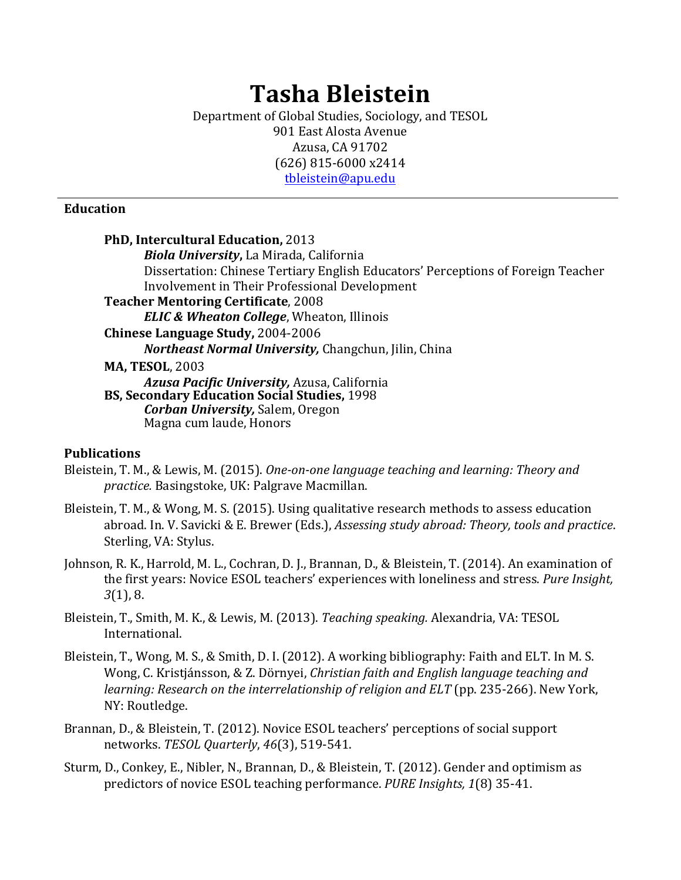# **Tasha Bleistein**

Department of Global Studies, Sociology, and TESOL 901 East Alosta Avenue Azusa, CA 91702 (626) 815-6000 x2414 tbleistein@apu.edu

#### **Education**

**PhD, Intercultural Education, 2013** *Biola University*, La Mirada, California Dissertation: Chinese Tertiary English Educators' Perceptions of Foreign Teacher Involvement in Their Professional Development **Teacher Mentoring Certificate, 2008** *ELIC & Wheaton College*, Wheaton, Illinois **Chinese Language Study,** 2004-2006 *Northeast Normal University, Changchun, Jilin, China* **MA, TESOL, 2003** *Azusa Pacific University,* Azusa, California **BS, Secondary Education Social Studies,** 1998 *Corban University, Salem, Oregon* Magna cum laude, Honors

#### **Publications**

- Bleistein, T. M., & Lewis, M. (2015). One-on-one language teaching and learning: Theory and *practice.* Basingstoke, UK: Palgrave Macmillan.
- Bleistein, T. M., & Wong, M. S. (2015). Using qualitative research methods to assess education abroad. In. V. Savicki & E. Brewer (Eds.), *Assessing study abroad: Theory, tools and practice.* Sterling, VA: Stylus.
- Johnson, R. K., Harrold, M. L., Cochran, D. J., Brannan, D., & Bleistein, T. (2014). An examination of the first years: Novice ESOL teachers' experiences with loneliness and stress. *Pure Insight*, *3*(1), 8.
- Bleistein, T., Smith, M. K., & Lewis, M. (2013). *Teaching speaking.* Alexandria, VA: TESOL International.
- Bleistein, T., Wong, M. S., & Smith, D. I. (2012). A working bibliography: Faith and ELT. In M. S. Wong, C. Kristjánsson, & Z. Dörnyei, *Christian faith and English language teaching and learning: Research on the interrelationship of religion and ELT* (pp. 235-266). New York, NY: Routledge.
- Brannan, D., & Bleistein, T. (2012). Novice ESOL teachers' perceptions of social support networks. *TESOL Quarterly*, *46*(3), 519-541.
- Sturm, D., Conkey, E., Nibler, N., Brannan, D., & Bleistein, T. (2012). Gender and optimism as predictors of novice ESOL teaching performance. *PURE Insights*, 1(8) 35-41.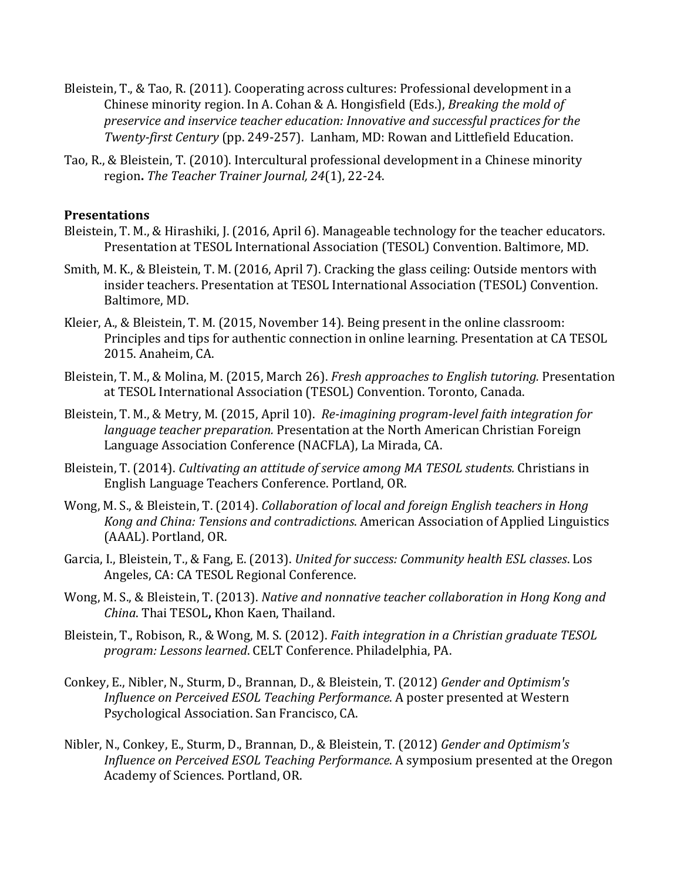- Bleistein, T., & Tao, R. (2011). Cooperating across cultures: Professional development in a Chinese minority region. In A. Cohan & A. Hongisfield (Eds.), *Breaking the mold of preservice and inservice teacher education: Innovative and successful practices for the Twenty-first Century* (pp. 249-257). Lanham, MD: Rowan and Littlefield Education.
- Tao, R., & Bleistein, T. (2010). Intercultural professional development in a Chinese minority region. The Teacher Trainer Journal, 24(1), 22-24.

#### **Presentations**

- Bleistein, T. M., & Hirashiki, J. (2016, April 6). Manageable technology for the teacher educators. Presentation at TESOL International Association (TESOL) Convention. Baltimore, MD.
- Smith, M. K., & Bleistein, T. M. (2016, April 7). Cracking the glass ceiling: Outside mentors with insider teachers. Presentation at TESOL International Association (TESOL) Convention. Baltimore, MD.
- Kleier, A., & Bleistein, T. M. (2015, November 14). Being present in the online classroom: Principles and tips for authentic connection in online learning. Presentation at CA TESOL 2015. Anaheim, CA.
- Bleistein, T. M., & Molina, M. (2015, March 26). *Fresh approaches to English tutoring.* Presentation at TESOL International Association (TESOL) Convention. Toronto, Canada.
- Bleistein, T. M., & Metry, M. (2015, April 10). *Re-imagining program-level faith integration for language teacher preparation.* Presentation at the North American Christian Foreign Language Association Conference (NACFLA), La Mirada, CA.
- Bleistein, T. (2014). *Cultivating an attitude of service among MA TESOL students.* Christians in English Language Teachers Conference. Portland, OR.
- Wong, M. S., & Bleistein, T. (2014). *Collaboration of local and foreign English teachers in Hong Kong and China: Tensions and contradictions.* American Association of Applied Linguistics (AAAL). Portland, OR.
- Garcia, I., Bleistein, T., & Fang, E. (2013). *United for success: Community health ESL classes*. Los Angeles, CA: CA TESOL Regional Conference.
- Wong, M. S., & Bleistein, T. (2013). *Native and nonnative teacher collaboration in Hong Kong and China*. Thai TESOL**,** Khon Kaen, Thailand.
- Bleistein, T., Robison, R., & Wong, M. S. (2012). *Faith integration in a Christian graduate TESOL program: Lessons learned*. CELT Conference. Philadelphia, PA.
- Conkey, E., Nibler, N., Sturm, D., Brannan, D., & Bleistein, T. (2012) *Gender and Optimism's Influence on Perceived ESOL Teaching Performance*. A poster presented at Western Psychological Association. San Francisco, CA.
- Nibler, N., Conkey, E., Sturm, D., Brannan, D., & Bleistein, T. (2012) *Gender and Optimism's Influence on Perceived ESOL Teaching Performance*. A symposium presented at the Oregon Academy of Sciences. Portland, OR.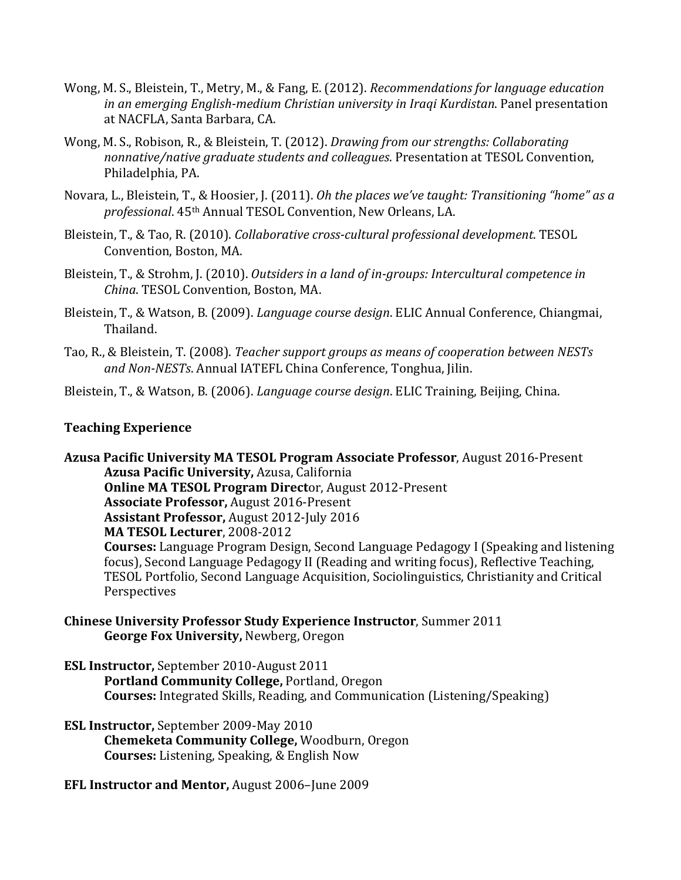- Wong, M. S., Bleistein, T., Metry, M., & Fang, E. (2012). *Recommendations for language education in an emerging English-medium Christian university in Iraqi Kurdistan.* Panel presentation at NACFLA, Santa Barbara, CA.
- Wong, M. S., Robison, R., & Bleistein, T. (2012). *Drawing from our strengths: Collaborating* nonnative/native graduate students and colleagues. Presentation at TESOL Convention, Philadelphia, PA.
- Novara, L., Bleistein, T., & Hoosier, J. (2011). *Oh the places we've taught: Transitioning "home" as a* professional. 45<sup>th</sup> Annual TESOL Convention, New Orleans, LA.
- Bleistein, T., & Tao, R. (2010). *Collaborative cross-cultural professional development*. TESOL Convention, Boston, MA.
- Bleistein, T., & Strohm, J. (2010). *Outsiders in a land of in-groups: Intercultural competence in China. TESOL Convention, Boston, MA.*
- Bleistein, T., & Watson, B. (2009). *Language course design*. ELIC Annual Conference, Chiangmai, Thailand.
- Tao, R., & Bleistein, T. (2008). *Teacher support groups as means of cooperation between NESTs* and Non-NESTs. Annual IATEFL China Conference, Tonghua, Jilin.

Bleistein, T., & Watson, B. (2006). *Language course design*. ELIC Training, Beijing, China.

#### **Teaching Experience**

**Azusa Pacific University MA TESOL Program Associate Professor, August 2016-Present Azusa Pacific University, Azusa, California Online MA TESOL Program Director, August 2012-Present Associate Professor, August 2016-Present Assistant Professor, August 2012-July 2016 MA TESOL Lecturer**, 2008-2012 **Courses:** Language Program Design, Second Language Pedagogy I (Speaking and listening focus), Second Language Pedagogy II (Reading and writing focus), Reflective Teaching, TESOL Portfolio, Second Language Acquisition, Sociolinguistics, Christianity and Critical Perspectives 

- **Chinese University Professor Study Experience Instructor, Summer 2011 George Fox University, Newberg, Oregon**
- **ESL Instructor, September 2010-August 2011 Portland Community College, Portland, Oregon Courses:** Integrated Skills, Reading, and Communication (Listening/Speaking)
- **ESL Instructor, September 2009-May 2010 Chemeketa Community College,** Woodburn, Oregon **Courses:** Listening, Speaking, & English Now
- **EFL Instructor and Mentor, August 2006–June 2009**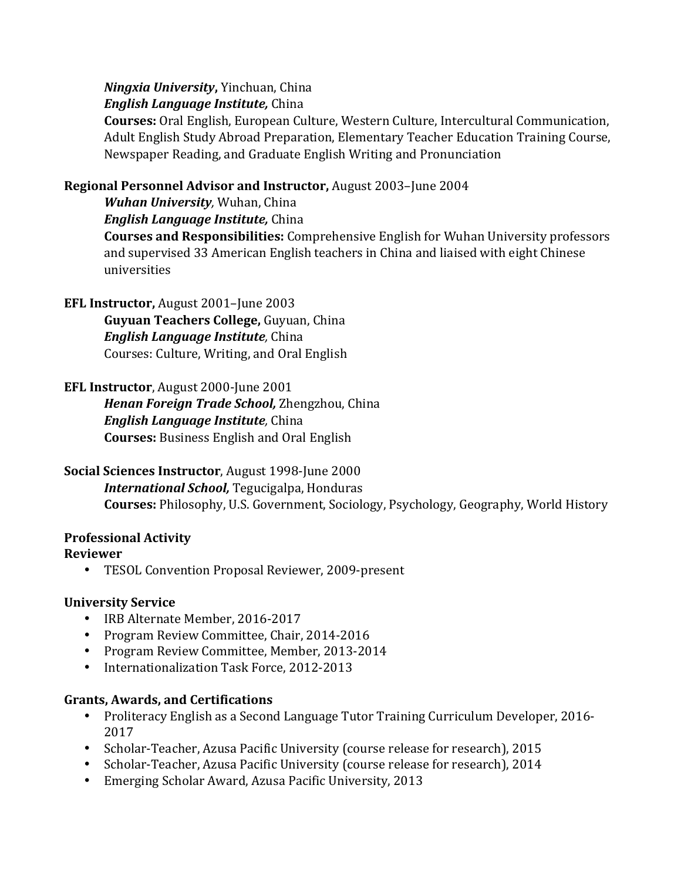*Ningxia University*, Yinchuan, China

*English Language Institute,* China

**Courses:** Oral English, European Culture, Western Culture, Intercultural Communication, Adult English Study Abroad Preparation, Elementary Teacher Education Training Course, Newspaper Reading, and Graduate English Writing and Pronunciation

# **Regional Personnel Advisor and Instructor, August 2003–June 2004**

*Wuhan University*, Wuhan, China

*English Language Institute,* China

**Courses and Responsibilities:** Comprehensive English for Wuhan University professors and supervised 33 American English teachers in China and liaised with eight Chinese universities

**EFL Instructor, August 2001–June 2003** 

**Guyuan Teachers College, Guyuan, China** *English Language Institute*, China Courses: Culture, Writing, and Oral English

# **EFL Instructor, August 2000-June 2001**

**Henan Foreign Trade School,** Zhengzhou, China *English Language Institute*, China **Courses:** Business English and Oral English

# **Social Sciences Instructor**, August 1998-June 2000 **International School, Tegucigalpa, Honduras Courses:** Philosophy, U.S. Government, Sociology, Psychology, Geography, World History

## **Professional Activity**

## **Reviewer**

• TESOL Convention Proposal Reviewer, 2009-present

# **University Service**

- IRB Alternate Member, 2016-2017
- Program Review Committee, Chair, 2014-2016
- Program Review Committee, Member, 2013-2014
- Internationalization Task Force, 2012-2013

## **Grants, Awards, and Certifications**

- Proliteracy English as a Second Language Tutor Training Curriculum Developer, 2016-2017
- Scholar-Teacher, Azusa Pacific University (course release for research), 2015
- Scholar-Teacher, Azusa Pacific University (course release for research), 2014
- Emerging Scholar Award, Azusa Pacific University, 2013